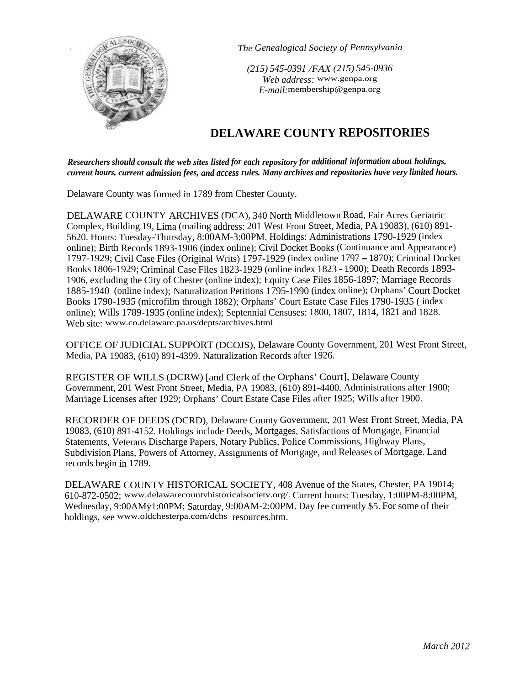

*The Genealogical Society of Pennsylvania*

*(215) 545-0391 /FAX (215) 545-0936 Web address:* www.genpa.org *E-mail:*membership@genpa.org

## **DELAWARE COUNTY REPOSITORIES**

*Researchers should consult the web sites listed for each repository for additional information about holdings, current hours, current admission fees, and access rules. Many archives and repositories have very limited hours.*

Delaware County was formed in 1789 from Chester County.

DELAWARE COUNTY ARCHIVES (DCA), 340 North Middletown Road, Fair Acres Geriatric Complex, Building 19, Lima (mailing address: 201 West Front Street, Media, PA 19083), (610) 891- 5620. Hours: Tuesday-Thursday, 8:00AM-3:00PM. Holdings: Administrations 1790-1929 (index online); Birth Records 1893-1906 (index online); Civil Docket Books (Continuance and Appearance) 1797-1929; Civil Case Files (Original Writs) 1797-1929 (index online <sup>1797</sup> -1870); Criminal Docket Books 1806-1929; Criminal Case Files 1823-1929 (online index 1823 - 1900); Death Records 1893- 1906, excluding the City of Chester (online index); Equity Case Files 1856-1897; Marriage Records 1885-1940 (online index); Naturalization Petitions 1795-1990 (index online); Orphans' Court Docket Books 1790-1935 (microfilm through 1882); Orphans' Court Estate Case Files 1790-1935 ( index online); Wills 1789-1935 (online index); Septennial Censuses: 1800, 1807, 1814, 1821 and 1828. Web site: www.co.delaware.pa.us/depts/archives.html

OFFICE OF JUDICIAL SUPPORT (DCOJS), Delaware County Government, 201 West Front Street, Media, PA 19083, (610) 891-4399. Naturalization Records after 1926.

REGISTER OF WILLS (DCRW) [and Clerk of the Orphans' Court], Delaware County Government, 201 West Front Street, Media, PA 19083, (610) 891-4400. Administrations after 1900; Marriage Licenses after 1929; Orphans' Court Estate Case Files after 1925; Wills after 1900.

RECORDER OF DEEDS (DCRD), Delaware County Government, 201 West Front Street, Media, PA 19083, (610) 891-4152. Holdings include Deeds, Mortgages, Satisfactions of Mortgage, Financial Statements, Veterans Discharge Papers, Notary Publics, Police Commissions, Highway Plans, Subdivision Plans, Powers of Attorney, Assignments of Mortgage, and Releases of Mortgage. Land records begin in 1789.

DELAWARE COUNTY HISTORICAL SOCIETY, 408 Avenue of the States, Chester, PA 19014; 610-872-0502; www.delawarecountvhistoricalsocietv.org/. Current hours: Tuesday, 1:00PM-8:00PM, Wednesday, 9:00AMÿ1:00PM; Saturday, 9:00AM-2:00PM. Day fee currently \$5. For some of their holdings, see www.oldchesterpa.com/dchs resources.htm.